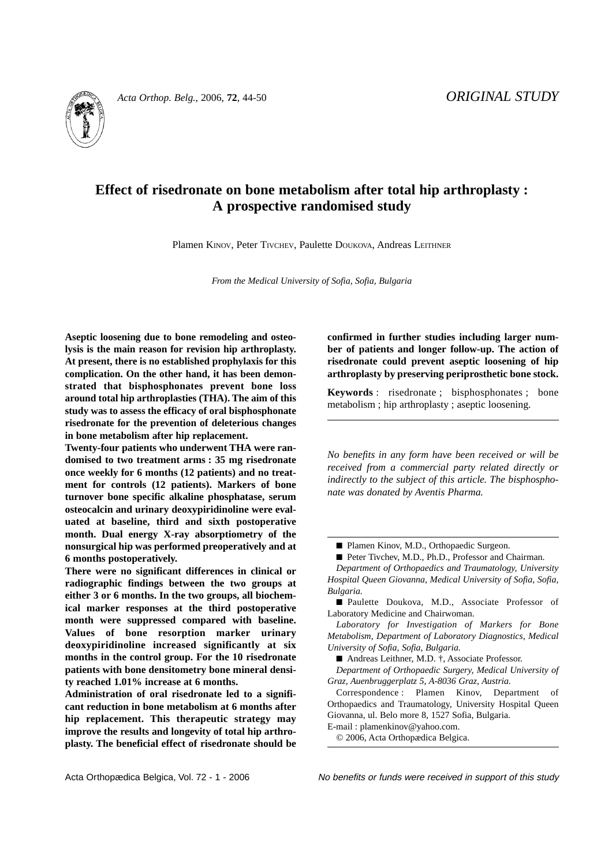

*Acta Orthop. Belg.*, 2006, **72**, 44-50 *ORIGINAL STUDY*

# **Effect of risedronate on bone metabolism after total hip arthroplasty : A prospective randomised study**

Plamen KINOV, Peter TIVCHEV, Paulette DOUKOVA, Andreas LEITHNER

*From the Medical University of Sofia, Sofia, Bulgaria*

**Aseptic loosening due to bone remodeling and osteolysis is the main reason for revision hip arthroplasty. At present, there is no established prophylaxis for this complication. On the other hand, it has been demonstrated that bisphosphonates prevent bone loss around total hip arthroplasties (THA). The aim of this study was to assess the efficacy of oral bisphosphonate risedronate for the prevention of deleterious changes in bone metabolism after hip replacement.**

**Twenty-four patients who underwent THA were randomised to two treatment arms : 35 mg risedronate once weekly for 6 months (12 patients) and no treatment for controls (12 patients). Markers of bone turnover bone specific alkaline phosphatase, serum osteocalcin and urinary deoxypiridinoline were evaluated at baseline, third and sixth postoperative month. Dual energy X-ray absorptiometry of the nonsurgical hip was performed preoperatively and at 6 months postoperatively.**

**There were no significant differences in clinical or radiographic findings between the two groups at either 3 or 6 months. In the two groups, all biochemical marker responses at the third postoperative month were suppressed compared with baseline. Values of bone resorption marker urinary deoxypiridinoline increased significantly at six months in the control group. For the 10 risedronate patients with bone densitometry bone mineral density reached 1.01% increase at 6 months.**

**Administration of oral risedronate led to a significant reduction in bone metabolism at 6 months after hip replacement. This therapeutic strategy may improve the results and longevity of total hip arthroplasty. The beneficial effect of risedronate should be** **confirmed in further studies including larger number of patients and longer follow-up. The action of risedronate could prevent aseptic loosening of hip arthroplasty by preserving periprosthetic bone stock.**

**Keywords** : risedronate ; bisphosphonates ; bone metabolism ; hip arthroplasty ; aseptic loosening.

*No benefits in any form have been received or will be received from a commercial party related directly or indirectly to the subject of this article. The bisphosphonate was donated by Aventis Pharma.*

■ Plamen Kinov, M.D., Orthopaedic Surgeon.

■ Peter Tivchev, M.D., Ph.D., Professor and Chairman. *Department of Orthopaedics and Traumatology, University Hospital Queen Giovanna, Medical University of Sofia, Sofia, Bulgaria.*

■ Paulette Doukova, M.D., Associate Professor of Laboratory Medicine and Chairwoman.

*Laboratory for Investigation of Markers for Bone Metabolism, Department of Laboratory Diagnostics, Medical University of Sofia, Sofia, Bulgaria.*

■ Andreas Leithner, M.D. †, Associate Professor.

*Department of Orthopaedic Surgery, Medical University of Graz, Auenbruggerplatz 5, A-8036 Graz, Austria.*

Correspondence : Plamen Kinov, Department of Orthopaedics and Traumatology, University Hospital Queen Giovanna, ul. Belo more 8, 1527 Sofia, Bulgaria.

E-mail : plamenkinov@yahoo.com.

© 2006, Acta Orthopædica Belgica.

Acta Orthopædica Belgica, Vol. 72 - 1 - 2006 No benefits or funds were received in support of this study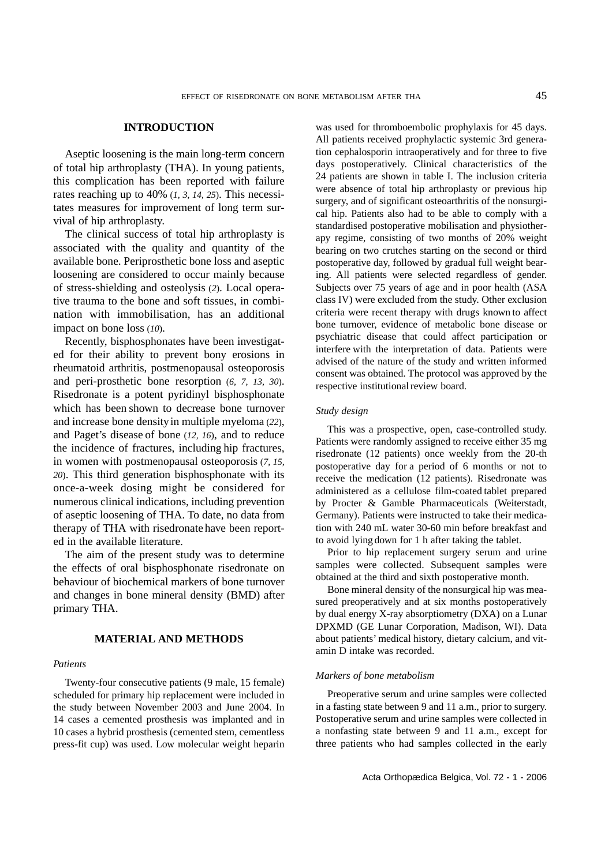### **INTRODUCTION**

Aseptic loosening is the main long-term concern of total hip arthroplasty (THA). In young patients, this complication has been reported with failure rates reaching up to 40% (*1, 3, 14, 25*). This necessitates measures for improvement of long term survival of hip arthroplasty.

The clinical success of total hip arthroplasty is associated with the quality and quantity of the available bone. Periprosthetic bone loss and aseptic loosening are considered to occur mainly because of stress-shielding and osteolysis (*2*). Local operative trauma to the bone and soft tissues, in combination with immobilisation, has an additional impact on bone loss (*10*).

Recently, bisphosphonates have been investigated for their ability to prevent bony erosions in rheumatoid arthritis, postmenopausal osteoporosis and peri-prosthetic bone resorption (*6, 7, 13, 30*). Risedronate is a potent pyridinyl bisphosphonate which has been shown to decrease bone turnover and increase bone densityin multiple myeloma (*22*), and Paget's disease of bone (*12, 16*), and to reduce the incidence of fractures, including hip fractures, in women with postmenopausal osteoporosis (*7, 15, 20*). This third generation bisphosphonate with its once-a-week dosing might be considered for numerous clinical indications, including prevention of aseptic loosening of THA. To date, no data from therapy of THA with risedronate have been reported in the available literature.

The aim of the present study was to determine the effects of oral bisphosphonate risedronate on behaviour of biochemical markers of bone turnover and changes in bone mineral density (BMD) after primary THA.

## **MATERIAL AND METHODS**

#### *Patients*

Twenty-four consecutive patients (9 male, 15 female) scheduled for primary hip replacement were included in the study between November 2003 and June 2004. In 14 cases a cemented prosthesis was implanted and in 10 cases a hybrid prosthesis (cemented stem, cementless press-fit cup) was used. Low molecular weight heparin

was used for thromboembolic prophylaxis for 45 days. All patients received prophylactic systemic 3rd generation cephalosporin intraoperatively and for three to five days postoperatively. Clinical characteristics of the 24 patients are shown in table I. The inclusion criteria were absence of total hip arthroplasty or previous hip surgery, and of significant osteoarthritis of the nonsurgical hip. Patients also had to be able to comply with a standardised postoperative mobilisation and physiotherapy regime, consisting of two months of 20% weight bearing on two crutches starting on the second or third postoperative day, followed by gradual full weight bearing. All patients were selected regardless of gender. Subjects over 75 years of age and in poor health (ASA class IV) were excluded from the study. Other exclusion criteria were recent therapy with drugs known to affect bone turnover, evidence of metabolic bone disease or psychiatric disease that could affect participation or interfere with the interpretation of data. Patients were advised of the nature of the study and written informed consent was obtained. The protocol was approved by the respective institutional review board.

## *Study design*

This was a prospective, open, case-controlled study. Patients were randomly assigned to receive either 35 mg risedronate (12 patients) once weekly from the 20-th postoperative day for a period of 6 months or not to receive the medication (12 patients). Risedronate was administered as a cellulose film-coated tablet prepared by Procter & Gamble Pharmaceuticals (Weiterstadt, Germany). Patients were instructed to take their medication with 240 mL water 30-60 min before breakfast and to avoid lying down for 1 h after taking the tablet.

Prior to hip replacement surgery serum and urine samples were collected. Subsequent samples were obtained at the third and sixth postoperative month.

Bone mineral density of the nonsurgical hip was measured preoperatively and at six months postoperatively by dual energy X-ray absorptiometry (DXA) on a Lunar DPXMD (GE Lunar Corporation, Madison, WI). Data about patients' medical history, dietary calcium, and vitamin D intake was recorded.

#### *Markers of bone metabolism*

Preoperative serum and urine samples were collected in a fasting state between 9 and 11 a.m., prior to surgery. Postoperative serum and urine samples were collected in a nonfasting state between 9 and 11 a.m., except for three patients who had samples collected in the early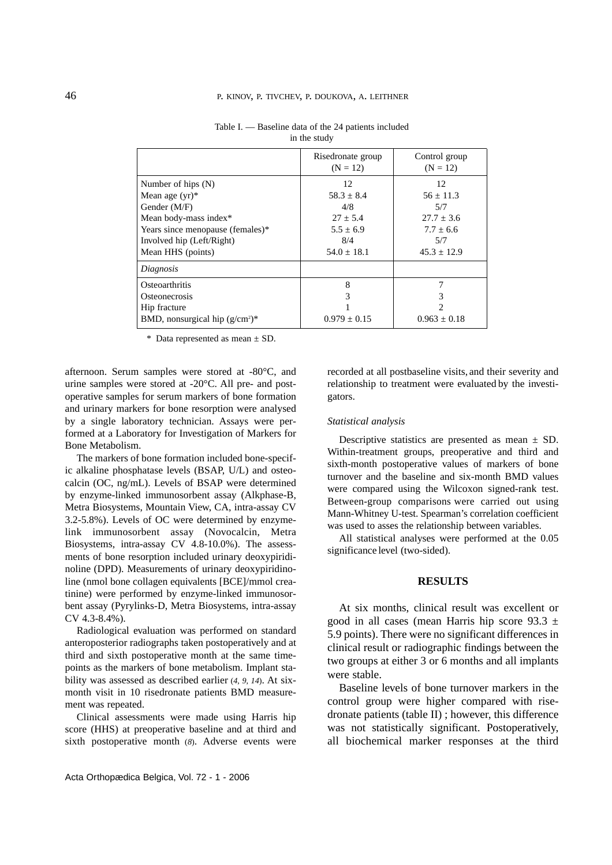| Risedronate group | Control group   |
|-------------------|-----------------|
|                   | $(N = 12)$      |
|                   |                 |
| 12                | 12              |
| $58.3 + 8.4$      | $56 \pm 11.3$   |
| 4/8               | 5/7             |
| $27 + 5.4$        | $27.7 + 3.6$    |
| $5.5 + 6.9$       | $7.7 + 6.6$     |
| 8/4               | 5/7             |
| $54.0 + 18.1$     | $45.3 \pm 12.9$ |
|                   |                 |
| 8                 | 7               |
| 3                 | 3               |
|                   | $\mathcal{D}$   |
| $0.979 \pm 0.15$  | $0.963 + 0.18$  |
|                   | $(N = 12)$      |

Table I. — Baseline data of the 24 patients included in the study

\* Data represented as mean ± SD.

afternoon. Serum samples were stored at -80°C, and urine samples were stored at -20°C. All pre- and postoperative samples for serum markers of bone formation and urinary markers for bone resorption were analysed by a single laboratory technician. Assays were performed at a Laboratory for Investigation of Markers for Bone Metabolism.

The markers of bone formation included bone-specific alkaline phosphatase levels (BSAP, U/L) and osteocalcin (OC, ng/mL). Levels of BSAP were determined by enzyme-linked immunosorbent assay (Alkphase-B, Metra Biosystems, Mountain View, CA, intra-assay CV 3.2-5.8%). Levels of OC were determined by enzymelink immunosorbent assay (Novocalcin, Metra Biosystems, intra-assay CV 4.8-10.0%). The assessments of bone resorption included urinary deoxypiridinoline (DPD). Measurements of urinary deoxypiridinoline (nmol bone collagen equivalents [BCE]/mmol creatinine) were performed by enzyme-linked immunosorbent assay (Pyrylinks-D, Metra Biosystems, intra-assay CV 4.3-8.4%).

Radiological evaluation was performed on standard anteroposterior radiographs taken postoperatively and at third and sixth postoperative month at the same timepoints as the markers of bone metabolism. Implant stability was assessed as described earlier (*4, 9, 14*). At sixmonth visit in 10 risedronate patients BMD measurement was repeated.

Clinical assessments were made using Harris hip score (HHS) at preoperative baseline and at third and sixth postoperative month (*8*). Adverse events were

recorded at all postbaseline visits, and their severity and relationship to treatment were evaluated by the investigators.

#### *Statistical analysis*

Descriptive statistics are presented as mean  $\pm$  SD. Within-treatment groups, preoperative and third and sixth-month postoperative values of markers of bone turnover and the baseline and six-month BMD values were compared using the Wilcoxon signed-rank test. Between-group comparisons were carried out using Mann-Whitney U-test. Spearman's correlation coefficient was used to asses the relationship between variables.

All statistical analyses were performed at the 0.05 significance level (two-sided).

# **RESULTS**

At six months, clinical result was excellent or good in all cases (mean Harris hip score  $93.3 \pm$ 5.9 points). There were no significant differences in clinical result or radiographic findings between the two groups at either 3 or 6 months and all implants were stable.

Baseline levels of bone turnover markers in the control group were higher compared with risedronate patients (table II) ; however, this difference was not statistically significant. Postoperatively, all biochemical marker responses at the third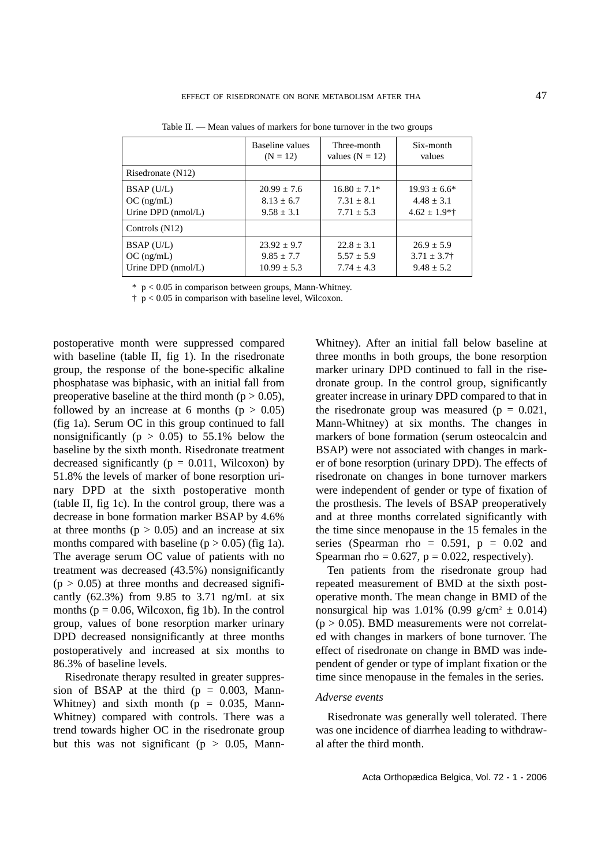|                      | Baseline values | Three-month       | Six-month        |
|----------------------|-----------------|-------------------|------------------|
|                      | $(N = 12)$      | values $(N = 12)$ | values           |
| Risedronate (N12)    |                 |                   |                  |
| $BSAP$ (U/L)         | $20.99 + 7.6$   | $16.80 + 7.1*$    | $19.93 + 6.6*$   |
| $OC$ (ng/mL)         | $8.13 + 6.7$    | $7.31 + 8.1$      | $4.48 + 3.1$     |
| Urine DPD (nmol/L)   | $9.58 + 3.1$    | $7.71 \pm 5.3$    | $4.62 \pm 1.9**$ |
| Controls $(N12)$     |                 |                   |                  |
| BSAP (U/L)           | $23.92 \pm 9.7$ | $22.8 \pm 3.1$    | $26.9 + 5.9$     |
| $OC$ (ng/mL)         | $9.85 + 7.7$    | $5.57 + 5.9$      | $3.71 \pm 3.7$ † |
| Urine DPD $(nmol/L)$ | $10.99 \pm 5.3$ | $7.74 + 4.3$      | $9.48 + 5.2$     |

Table II. — Mean values of markers for bone turnover in the two groups

 $*$  p < 0.05 in comparison between groups, Mann-Whitney.

 $\uparrow$  p < 0.05 in comparison with baseline level, Wilcoxon.

postoperative month were suppressed compared with baseline (table II, fig 1). In the risedronate group, the response of the bone-specific alkaline phosphatase was biphasic, with an initial fall from preoperative baseline at the third month ( $p > 0.05$ ), followed by an increase at 6 months ( $p > 0.05$ ) (fig 1a). Serum OC in this group continued to fall nonsignificantly ( $p > 0.05$ ) to 55.1% below the baseline by the sixth month. Risedronate treatment decreased significantly ( $p = 0.011$ , Wilcoxon) by 51.8% the levels of marker of bone resorption urinary DPD at the sixth postoperative month (table II, fig 1c). In the control group, there was a decrease in bone formation marker BSAP by 4.6% at three months ( $p > 0.05$ ) and an increase at six months compared with baseline  $(p > 0.05)$  (fig 1a). The average serum OC value of patients with no treatment was decreased (43.5%) nonsignificantly  $(p > 0.05)$  at three months and decreased significantly  $(62.3\%)$  from 9.85 to 3.71 ng/mL at six months ( $p = 0.06$ , Wilcoxon, fig 1b). In the control group, values of bone resorption marker urinary DPD decreased nonsignificantly at three months postoperatively and increased at six months to 86.3% of baseline levels.

Risedronate therapy resulted in greater suppression of BSAP at the third ( $p = 0.003$ , Mann-Whitney) and sixth month ( $p = 0.035$ , Mann-Whitney) compared with controls. There was a trend towards higher OC in the risedronate group but this was not significant ( $p > 0.05$ , Mann-

Whitney). After an initial fall below baseline at three months in both groups, the bone resorption marker urinary DPD continued to fall in the risedronate group. In the control group, significantly greater increase in urinary DPD compared to that in the risedronate group was measured ( $p = 0.021$ , Mann-Whitney) at six months. The changes in markers of bone formation (serum osteocalcin and BSAP) were not associated with changes in marker of bone resorption (urinary DPD). The effects of risedronate on changes in bone turnover markers were independent of gender or type of fixation of the prosthesis. The levels of BSAP preoperatively and at three months correlated significantly with the time since menopause in the 15 females in the series (Spearman rho =  $0.591$ ,  $p = 0.02$  and Spearman rho =  $0.627$ ,  $p = 0.022$ , respectively).

Ten patients from the risedronate group had repeated measurement of BMD at the sixth postoperative month. The mean change in BMD of the nonsurgical hip was  $1.01\%$  (0.99 g/cm<sup>2</sup>  $\pm$  0.014)  $(p > 0.05)$ . BMD measurements were not correlated with changes in markers of bone turnover. The effect of risedronate on change in BMD was independent of gender or type of implant fixation or the time since menopause in the females in the series.

#### *Adverse events*

Risedronate was generally well tolerated. There was one incidence of diarrhea leading to withdrawal after the third month.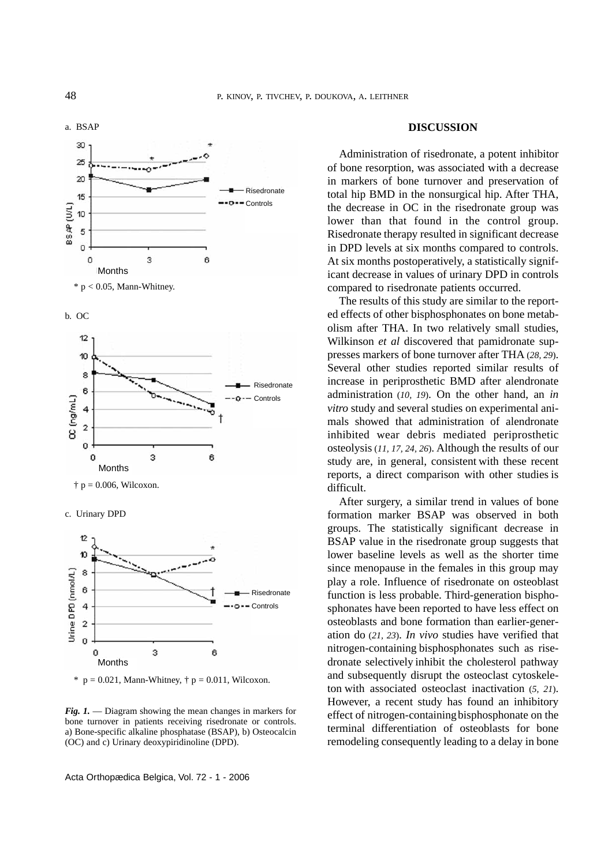

b. OC



 $\dagger$  p = 0.006, Wilcoxon.

c. Urinary DPD





*Fig. 1.* — Diagram showing the mean changes in markers for bone turnover in patients receiving risedronate or controls. a) Bone-specific alkaline phosphatase (BSAP), b) Osteocalcin (OC) and c) Urinary deoxypiridinoline (DPD).

Acta Orthopædica Belgica, Vol. 72 - 1 - 2006

#### **DISCUSSION**

Administration of risedronate, a potent inhibitor of bone resorption, was associated with a decrease in markers of bone turnover and preservation of total hip BMD in the nonsurgical hip. After THA, the decrease in OC in the risedronate group was lower than that found in the control group. Risedronate therapy resulted in significant decrease in DPD levels at six months compared to controls. At six months postoperatively, a statistically significant decrease in values of urinary DPD in controls compared to risedronate patients occurred.

The results of this study are similar to the reported effects of other bisphosphonates on bone metabolism after THA. In two relatively small studies, Wilkinson *et al* discovered that pamidronate suppresses markers of bone turnover after THA (*28, 29*). Several other studies reported similar results of increase in periprosthetic BMD after alendronate administration (*10, 19*). On the other hand, an *in vitro* study and several studies on experimental animals showed that administration of alendronate inhibited wear debris mediated periprosthetic osteolysis (*11, 17, 24, 26*). Although the results of our study are, in general, consistent with these recent reports, a direct comparison with other studies is difficult.

After surgery, a similar trend in values of bone formation marker BSAP was observed in both groups. The statistically significant decrease in BSAP value in the risedronate group suggests that lower baseline levels as well as the shorter time since menopause in the females in this group may play a role. Influence of risedronate on osteoblast function is less probable. Third-generation bisphosphonates have been reported to have less effect on osteoblasts and bone formation than earlier-generation do (*21, 23*). *In vivo* studies have verified that nitrogen-containing bisphosphonates such as risedronate selectively inhibit the cholesterol pathway and subsequently disrupt the osteoclast cytoskeleton with associated osteoclast inactivation (*5, 21*). However, a recent study has found an inhibitory effect of nitrogen-containing bisphosphonate on the terminal differentiation of osteoblasts for bone remodeling consequently leading to a delay in bone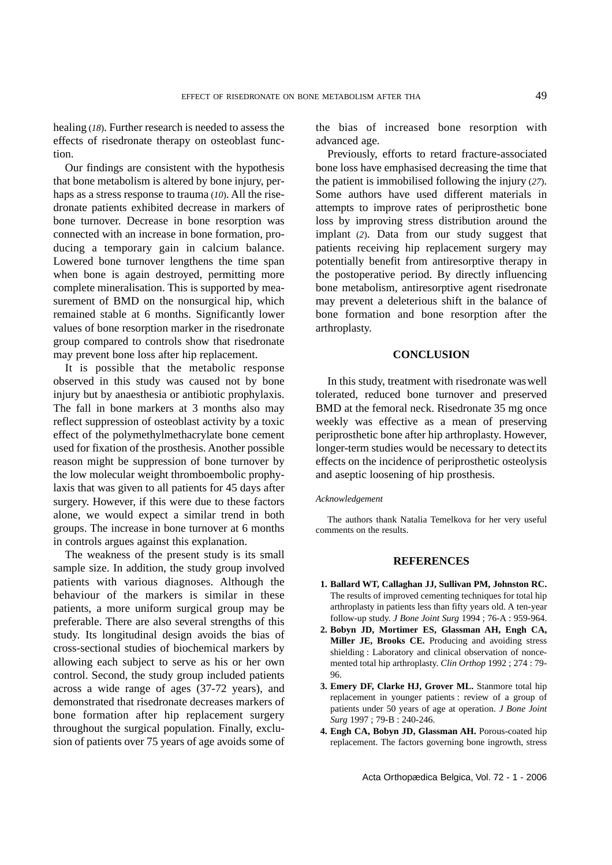healing (*18*). Further research is needed to assess the effects of risedronate therapy on osteoblast function.

Our findings are consistent with the hypothesis that bone metabolism is altered by bone injury, perhaps as a stress response to trauma (*10*). All the risedronate patients exhibited decrease in markers of bone turnover. Decrease in bone resorption was connected with an increase in bone formation, producing a temporary gain in calcium balance. Lowered bone turnover lengthens the time span when bone is again destroyed, permitting more complete mineralisation. This is supported by measurement of BMD on the nonsurgical hip, which remained stable at 6 months. Significantly lower values of bone resorption marker in the risedronate group compared to controls show that risedronate may prevent bone loss after hip replacement.

It is possible that the metabolic response observed in this study was caused not by bone injury but by anaesthesia or antibiotic prophylaxis. The fall in bone markers at 3 months also may reflect suppression of osteoblast activity by a toxic effect of the polymethylmethacrylate bone cement used for fixation of the prosthesis. Another possible reason might be suppression of bone turnover by the low molecular weight thromboembolic prophylaxis that was given to all patients for 45 days after surgery. However, if this were due to these factors alone, we would expect a similar trend in both groups. The increase in bone turnover at 6 months in controls argues against this explanation.

The weakness of the present study is its small sample size. In addition, the study group involved patients with various diagnoses. Although the behaviour of the markers is similar in these patients, a more uniform surgical group may be preferable. There are also several strengths of this study. Its longitudinal design avoids the bias of cross-sectional studies of biochemical markers by allowing each subject to serve as his or her own control. Second, the study group included patients across a wide range of ages (37-72 years), and demonstrated that risedronate decreases markers of bone formation after hip replacement surgery throughout the surgical population. Finally, exclusion of patients over 75 years of age avoids some of

the bias of increased bone resorption with advanced age.

Previously, efforts to retard fracture-associated bone loss have emphasised decreasing the time that the patient is immobilised following the injury (*27*). Some authors have used different materials in attempts to improve rates of periprosthetic bone loss by improving stress distribution around the implant (*2*). Data from our study suggest that patients receiving hip replacement surgery may potentially benefit from antiresorptive therapy in the postoperative period. By directly influencing bone metabolism, antiresorptive agent risedronate may prevent a deleterious shift in the balance of bone formation and bone resorption after the arthroplasty.

# **CONCLUSION**

In this study, treatment with risedronate waswell tolerated, reduced bone turnover and preserved BMD at the femoral neck. Risedronate 35 mg once weekly was effective as a mean of preserving periprosthetic bone after hip arthroplasty. However, longer-term studies would be necessary to detectits effects on the incidence of periprosthetic osteolysis and aseptic loosening of hip prosthesis.

## *Acknowledgement*

The authors thank Natalia Temelkova for her very useful comments on the results.

## **REFERENCES**

- **1. Ballard WT, Callaghan JJ, Sullivan PM, Johnston RC.** The results of improved cementing techniques for total hip arthroplasty in patients less than fifty years old. A ten-year follow-up study. *J Bone Joint Surg* 1994 ; 76-A : 959-964.
- **2. Bobyn JD, Mortimer ES, Glassman AH, Engh CA, Miller JE, Brooks CE.** Producing and avoiding stress shielding : Laboratory and clinical observation of noncemented total hip arthroplasty. *Clin Orthop* 1992 ; 274 : 79- 96.
- **3. Emery DF, Clarke HJ, Grover ML.** Stanmore total hip replacement in younger patients : review of a group of patients under 50 years of age at operation. *J Bone Joint Surg* 1997 ; 79-B : 240-246.
- **4. Engh CA, Bobyn JD, Glassman AH.** Porous-coated hip replacement. The factors governing bone ingrowth, stress

Acta Orthopædica Belgica, Vol. 72 - 1 - 2006